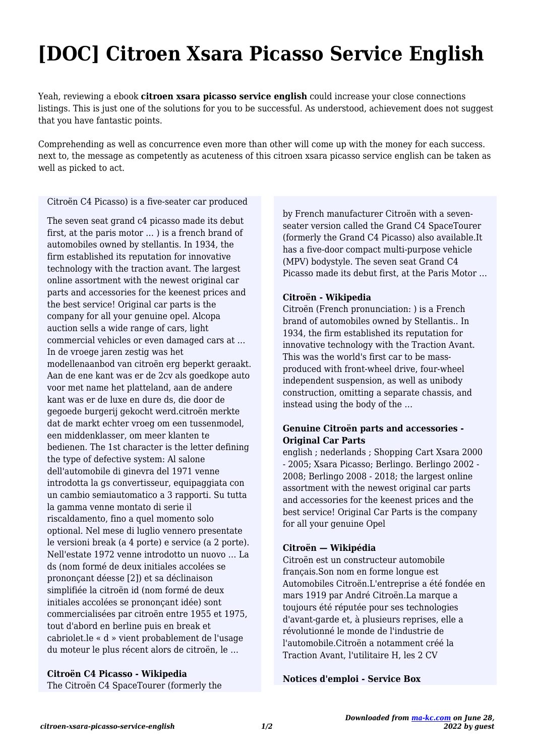# **[DOC] Citroen Xsara Picasso Service English**

Yeah, reviewing a ebook **citroen xsara picasso service english** could increase your close connections listings. This is just one of the solutions for you to be successful. As understood, achievement does not suggest that you have fantastic points.

Comprehending as well as concurrence even more than other will come up with the money for each success. next to, the message as competently as acuteness of this citroen xsara picasso service english can be taken as well as picked to act.

Citroën C4 Picasso) is a five-seater car produced

The seven seat grand c4 picasso made its debut first, at the paris motor … ) is a french brand of automobiles owned by stellantis. In 1934, the firm established its reputation for innovative technology with the traction avant. The largest online assortment with the newest original car parts and accessories for the keenest prices and the best service! Original car parts is the company for all your genuine opel. Alcopa auction sells a wide range of cars, light commercial vehicles or even damaged cars at … In de vroege jaren zestig was het modellenaanbod van citroën erg beperkt geraakt. Aan de ene kant was er de 2cv als goedkope auto voor met name het platteland, aan de andere kant was er de luxe en dure ds, die door de gegoede burgerij gekocht werd.citroën merkte dat de markt echter vroeg om een tussenmodel, een middenklasser, om meer klanten te bedienen. The 1st character is the letter defining the type of defective system: Al salone dell'automobile di ginevra del 1971 venne introdotta la gs convertisseur, equipaggiata con un cambio semiautomatico a 3 rapporti. Su tutta la gamma venne montato di serie il riscaldamento, fino a quel momento solo optional. Nel mese di luglio vennero presentate le versioni break (a 4 porte) e service (a 2 porte). Nell'estate 1972 venne introdotto un nuovo … La ds (nom formé de deux initiales accolées se prononçant déesse [2]) et sa déclinaison simplifiée la citroën id (nom formé de deux initiales accolées se prononçant idée) sont commercialisées par citroën entre 1955 et 1975, tout d'abord en berline puis en break et cabriolet.le « d » vient probablement de l'usage du moteur le plus récent alors de citroën, le …

## **Citroën C4 Picasso - Wikipedia**

The Citroën C4 SpaceTourer (formerly the

by French manufacturer Citroën with a sevenseater version called the Grand C4 SpaceTourer (formerly the Grand C4 Picasso) also available.It has a five-door compact multi-purpose vehicle (MPV) bodystyle. The seven seat Grand C4 Picasso made its debut first, at the Paris Motor …

## **Citroën - Wikipedia**

Citroën (French pronunciation: ) is a French brand of automobiles owned by Stellantis.. In 1934, the firm established its reputation for innovative technology with the Traction Avant. This was the world's first car to be massproduced with front-wheel drive, four-wheel independent suspension, as well as unibody construction, omitting a separate chassis, and instead using the body of the …

## **Genuine Citroën parts and accessories - Original Car Parts**

english ; nederlands ; Shopping Cart Xsara 2000 - 2005; Xsara Picasso; Berlingo. Berlingo 2002 - 2008; Berlingo 2008 - 2018; the largest online assortment with the newest original car parts and accessories for the keenest prices and the best service! Original Car Parts is the company for all your genuine Opel

## **Citroën — Wikipédia**

Citroën est un constructeur automobile français.Son nom en forme longue est Automobiles Citroën.L'entreprise a été fondée en mars 1919 par André Citroën.La marque a toujours été réputée pour ses technologies d'avant-garde et, à plusieurs reprises, elle a révolutionné le monde de l'industrie de l'automobile.Citroën a notamment créé la Traction Avant, l'utilitaire H, les 2 CV

## **Notices d'emploi - Service Box**